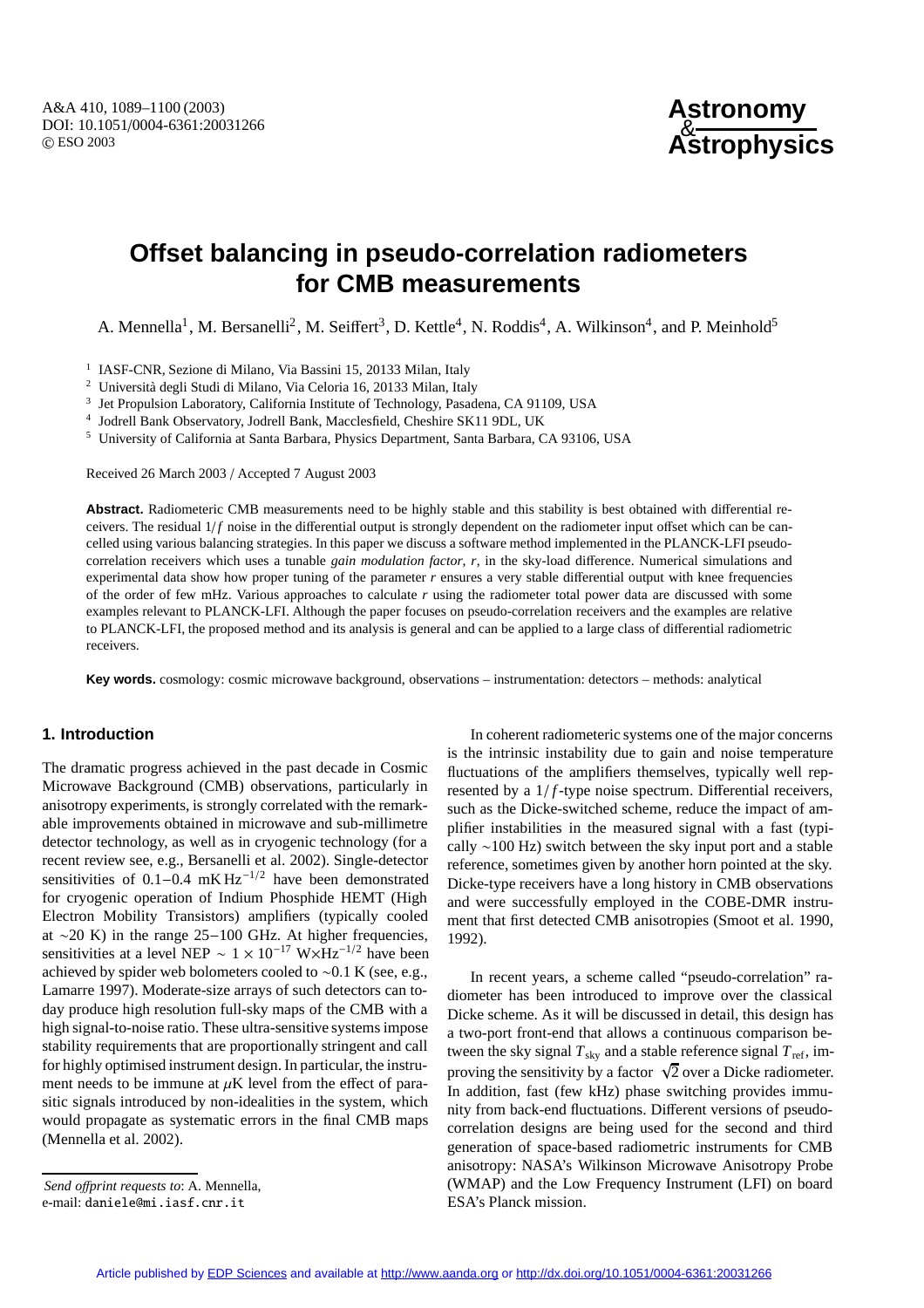A&A 410, 1089–1100 (2003) DOI: 10.1051/0004-6361:20031266 c ESO 2003

# **Offset balancing in pseudo-correlation radiometers for CMB measurements**

A. Mennella<sup>1</sup>, M. Bersanelli<sup>2</sup>, M. Seiffert<sup>3</sup>, D. Kettle<sup>4</sup>, N. Roddis<sup>4</sup>, A. Wilkinson<sup>4</sup>, and P. Meinhold<sup>5</sup>

<sup>1</sup> IASF-CNR, Sezione di Milano, Via Bassini 15, 20133 Milan, Italy

<sup>2</sup> Università degli Studi di Milano, Via Celoria 16, 20133 Milan, Italy  $\frac{3}{2}$  Ist Propulsion I aboratory California Institute of Technology. Pasada

<sup>3</sup> Jet Propulsion Laboratory, California Institute of Technology, Pasadena, CA 91109, USA

<sup>4</sup> Jodrell Bank Observatory, Jodrell Bank, Macclesfield, Cheshire SK11 9DL, UK

<sup>5</sup> University of California at Santa Barbara, Physics Department, Santa Barbara, CA 93106, USA

Received 26 March 2003 / Accepted 7 August 2003

**Abstract.** Radiometeric CMB measurements need to be highly stable and this stability is best obtained with differential receivers. The residual  $1/f$  noise in the differential output is strongly dependent on the radiometer input offset which can be cancelled using various balancing strategies. In this paper we discuss a software method implemented in the PLANCK-LFI pseudocorrelation receivers which uses a tunable *gain modulation factor*, *r*, in the sky-load difference. Numerical simulations and experimental data show how proper tuning of the parameter *r* ensures a very stable differential output with knee frequencies of the order of few mHz. Various approaches to calculate *r* using the radiometer total power data are discussed with some examples relevant to PLANCK-LFI. Although the paper focuses on pseudo-correlation receivers and the examples are relative to PLANCK-LFI, the proposed method and its analysis is general and can be applied to a large class of differential radiometric receivers.

**Key words.** cosmology: cosmic microwave background, observations – instrumentation: detectors – methods: analytical

### **1. Introduction**

The dramatic progress achieved in the past decade in Cosmic Microwave Background (CMB) observations, particularly in anisotropy experiments, is strongly correlated with the remarkable improvements obtained in microwave and sub-millimetre detector technology, as well as in cryogenic technology (for a recent review see, e.g., Bersanelli et al. 2002). Single-detector sensitivities of 0.1–0.4 mK Hz<sup>-1/2</sup> have been demonstrated for cryogenic operation of Indium Phosphide HEMT (High Electron Mobility Transistors) amplifiers (typically cooled at ∼20 K) in the range 25−100 GHz. At higher frequencies, sensitivities at a level NEP ~  $1 \times 10^{-17}$  W×Hz<sup>-1/2</sup> have been achieved by spider web bolometers cooled to ∼0.1 K (see, e.g., Lamarre 1997). Moderate-size arrays of such detectors can today produce high resolution full-sky maps of the CMB with a high signal-to-noise ratio. These ultra-sensitive systems impose stability requirements that are proportionally stringent and call for highly optimised instrument design. In particular, the instrument needs to be immune at  $\mu$ K level from the effect of parasitic signals introduced by non-idealities in the system, which would propagate as systematic errors in the final CMB maps (Mennella et al. 2002).

In coherent radiometeric systems one of the major concerns is the intrinsic instability due to gain and noise temperature fluctuations of the amplifiers themselves, typically well represented by a 1/*f*-type noise spectrum. Differential receivers, such as the Dicke-switched scheme, reduce the impact of amplifier instabilities in the measured signal with a fast (typically ∼100 Hz) switch between the sky input port and a stable reference, sometimes given by another horn pointed at the sky. Dicke-type receivers have a long history in CMB observations and were successfully employed in the COBE-DMR instrument that first detected CMB anisotropies (Smoot et al. 1990, 1992).

In recent years, a scheme called "pseudo-correlation" radiometer has been introduced to improve over the classical Dicke scheme. As it will be discussed in detail, this design has a two-port front-end that allows a continuous comparison between the sky signal  $T_{sky}$  and a stable reference signal  $T_{ref}$ , improving the sensitivity by a factor  $\sqrt{2}$  over a Dicke radiometer. In addition, fast (few kHz) phase switching provides immunity from back-end fluctuations. Different versions of pseudocorrelation designs are being used for the second and third generation of space-based radiometric instruments for CMB anisotropy: NASA's Wilkinson Microwave Anisotropy Probe (WMAP) and the Low Frequency Instrument (LFI) on board ESA's Planck mission.

*Send o*ff*print requests to*: A. Mennella, e-mail: daniele@mi.iasf.cnr.it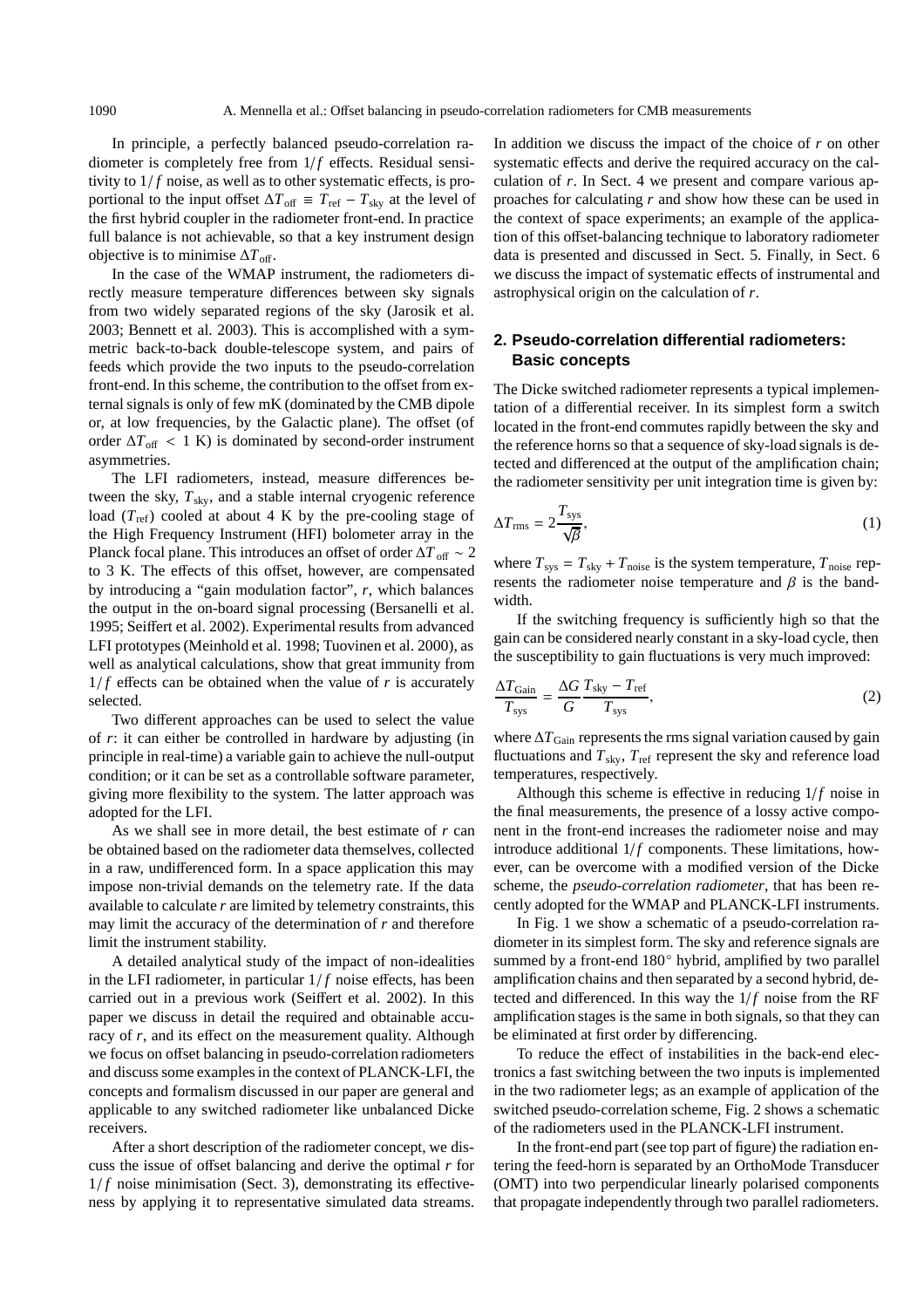In principle, a perfectly balanced pseudo-correlation radiometer is completely free from  $1/f$  effects. Residual sensitivity to  $1/f$  noise, as well as to other systematic effects, is proportional to the input offset  $\Delta T_{\text{off}}$  =  $T_{\text{ref}} - T_{\text{sky}}$  at the level of the first hybrid coupler in the radiometer front-end. In practice full balance is not achievable, so that a key instrument design objective is to minimise  $\Delta T_{\text{off}}$ .

In the case of the WMAP instrument, the radiometers directly measure temperature differences between sky signals from two widely separated regions of the sky (Jarosik et al. 2003; Bennett et al. 2003). This is accomplished with a symmetric back-to-back double-telescope system, and pairs of feeds which provide the two inputs to the pseudo-correlation front-end. In this scheme, the contribution to the offset from external signals is only of few mK (dominated by the CMB dipole or, at low frequencies, by the Galactic plane). The offset (of order  $\Delta T_{\text{off}}$  < 1 K) is dominated by second-order instrument asymmetries.

The LFI radiometers, instead, measure differences between the sky,  $T_{sky}$ , and a stable internal cryogenic reference load  $(T_{ref})$  cooled at about 4 K by the pre-cooling stage of the High Frequency Instrument (HFI) bolometer array in the Planck focal plane. This introduces an offset of order  $\Delta T$  of  $\sim$  2 to 3 K. The effects of this offset, however, are compensated by introducing a "gain modulation factor", *r*, which balances the output in the on-board signal processing (Bersanelli et al. 1995; Seiffert et al. 2002). Experimental results from advanced LFI prototypes (Meinhold et al. 1998; Tuovinen et al. 2000), as well as analytical calculations, show that great immunity from  $1/f$  effects can be obtained when the value of r is accurately selected.

Two different approaches can be used to select the value of *r*: it can either be controlled in hardware by adjusting (in principle in real-time) a variable gain to achieve the null-output condition; or it can be set as a controllable software parameter, giving more flexibility to the system. The latter approach was adopted for the LFI.

As we shall see in more detail, the best estimate of *r* can be obtained based on the radiometer data themselves, collected in a raw, undifferenced form. In a space application this may impose non-trivial demands on the telemetry rate. If the data available to calculate *r* are limited by telemetry constraints, this may limit the accuracy of the determination of *r* and therefore limit the instrument stability.

A detailed analytical study of the impact of non-idealities in the LFI radiometer, in particular  $1/f$  noise effects, has been carried out in a previous work (Seiffert et al. 2002). In this paper we discuss in detail the required and obtainable accuracy of *r*, and its effect on the measurement quality. Although we focus on offset balancing in pseudo-correlation radiometers and discuss some examples in the context of PLANCK-LFI, the concepts and formalism discussed in our paper are general and applicable to any switched radiometer like unbalanced Dicke receivers.

After a short description of the radiometer concept, we discuss the issue of offset balancing and derive the optimal *r* for  $1/f$  noise minimisation (Sect. 3), demonstrating its effectiveness by applying it to representative simulated data streams. In addition we discuss the impact of the choice of *r* on other systematic effects and derive the required accuracy on the calculation of *r*. In Sect. 4 we present and compare various approaches for calculating *r* and show how these can be used in the context of space experiments; an example of the application of this offset-balancing technique to laboratory radiometer data is presented and discussed in Sect. 5. Finally, in Sect. 6 we discuss the impact of systematic effects of instrumental and astrophysical origin on the calculation of *r*.

## **2. Pseudo-correlation differential radiometers: Basic concepts**

The Dicke switched radiometer represents a typical implementation of a differential receiver. In its simplest form a switch located in the front-end commutes rapidly between the sky and the reference horns so that a sequence of sky-load signals is detected and differenced at the output of the amplification chain; the radiometer sensitivity per unit integration time is given by:

$$
\Delta T_{\rm rms} = 2 \frac{T_{\rm sys}}{\sqrt{\beta}},\tag{1}
$$

where  $T_{sys} = T_{sky} + T_{noise}$  is the system temperature,  $T_{noise}$  represents the radiometer noise temperature and  $\beta$  is the bandwidth.

If the switching frequency is sufficiently high so that the gain can be considered nearly constant in a sky-load cycle, then the susceptibility to gain fluctuations is very much improved:

$$
\frac{\Delta T_{\text{Gain}}}{T_{\text{sys}}} = \frac{\Delta G}{G} \frac{T_{\text{sky}} - T_{\text{ref}}}{T_{\text{sys}}},\tag{2}
$$

where  $\Delta T_{\text{Gain}}$  represents the rms signal variation caused by gain fluctuations and  $T_{sky}$ ,  $T_{ref}$  represent the sky and reference load temperatures, respectively.

Although this scheme is effective in reducing  $1/f$  noise in the final measurements, the presence of a lossy active component in the front-end increases the radiometer noise and may introduce additional  $1/f$  components. These limitations, however, can be overcome with a modified version of the Dicke scheme, the *pseudo-correlation radiometer*, that has been recently adopted for the WMAP and PLANCK-LFI instruments.

In Fig. 1 we show a schematic of a pseudo-correlation radiometer in its simplest form. The sky and reference signals are summed by a front-end 180◦ hybrid, amplified by two parallel amplification chains and then separated by a second hybrid, detected and differenced. In this way the  $1/f$  noise from the RF amplification stages is the same in both signals, so that they can be eliminated at first order by differencing.

To reduce the effect of instabilities in the back-end electronics a fast switching between the two inputs is implemented in the two radiometer legs; as an example of application of the switched pseudo-correlation scheme, Fig. 2 shows a schematic of the radiometers used in the PLANCK-LFI instrument.

In the front-end part (see top part of figure) the radiation entering the feed-horn is separated by an OrthoMode Transducer (OMT) into two perpendicular linearly polarised components that propagate independently through two parallel radiometers.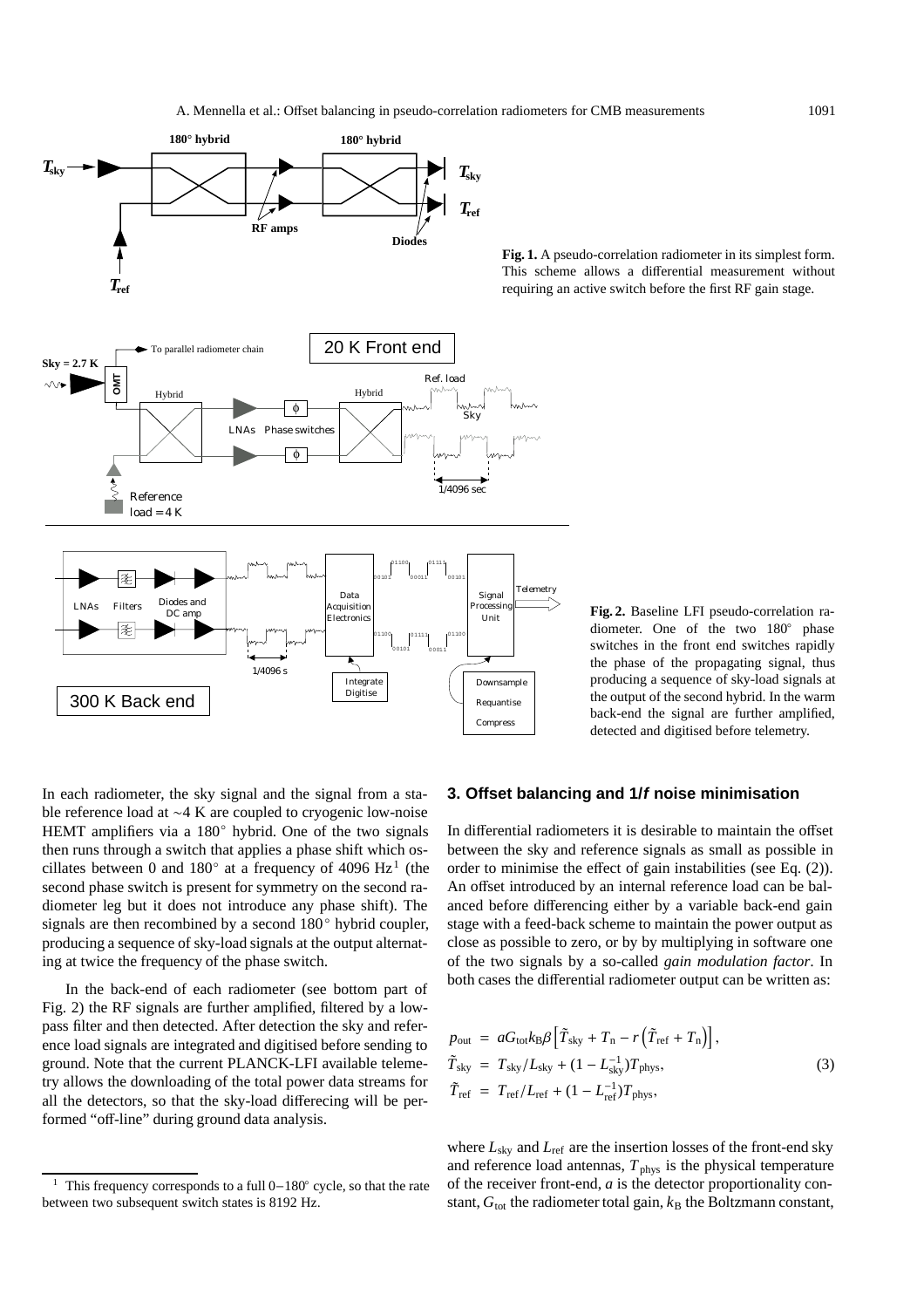

**Fig. 1.** A pseudo-correlation radiometer in its simplest form. This scheme allows a differential measurement without requiring an active switch before the first RF gain stage.

**Fig. 2.** Baseline LFI pseudo-correlation radiometer. One of the two 180◦ phase switches in the front end switches rapidly the phase of the propagating signal, thus producing a sequence of sky-load signals at the output of the second hybrid. In the warm back-end the signal are further amplified, detected and digitised before telemetry.

In each radiometer, the sky signal and the signal from a stable reference load at ∼4 K are coupled to cryogenic low-noise HEMT amplifiers via a 180<sup>°</sup> hybrid. One of the two signals then runs through a switch that applies a phase shift which oscillates between 0 and 180 $\degree$  at a frequency of 4096 Hz<sup>1</sup> (the second phase switch is present for symmetry on the second radiometer leg but it does not introduce any phase shift). The signals are then recombined by a second 180◦ hybrid coupler, producing a sequence of sky-load signals at the output alternating at twice the frequency of the phase switch.

In the back-end of each radiometer (see bottom part of Fig. 2) the RF signals are further amplified, filtered by a lowpass filter and then detected. After detection the sky and reference load signals are integrated and digitised before sending to ground. Note that the current PLANCK-LFI available telemetry allows the downloading of the total power data streams for all the detectors, so that the sky-load differecing will be performed "off-line" during ground data analysis.

#### **3. Offset balancing and 1/f noise minimisation**

In differential radiometers it is desirable to maintain the offset between the sky and reference signals as small as possible in order to minimise the effect of gain instabilities (see Eq. (2)). An offset introduced by an internal reference load can be balanced before differencing either by a variable back-end gain stage with a feed-back scheme to maintain the power output as close as possible to zero, or by by multiplying in software one of the two signals by a so-called *gain modulation factor*. In both cases the differential radiometer output can be written as:

$$
p_{\text{out}} = aG_{\text{tot}}k_{\text{B}}\beta \left[ \tilde{T}_{\text{sky}} + T_{\text{n}} - r \left( \tilde{T}_{\text{ref}} + T_{\text{n}} \right) \right],
$$
  
\n
$$
\tilde{T}_{\text{sky}} = T_{\text{sky}}/L_{\text{sky}} + (1 - L_{\text{sky}}^{-1})T_{\text{phys}},
$$
  
\n
$$
\tilde{T}_{\text{ref}} = T_{\text{ref}}/L_{\text{ref}} + (1 - L_{\text{ref}}^{-1})T_{\text{phys}},
$$
\n(3)

where  $L_{sky}$  and  $L_{ref}$  are the insertion losses of the front-end sky and reference load antennas,  $T_{\text{phys}}$  is the physical temperature of the receiver front-end, *a* is the detector proportionality constant,  $G_{\text{tot}}$  the radiometer total gain,  $k_B$  the Boltzmann constant,

<sup>1</sup> This frequency corresponds to a full 0−180◦ cycle, so that the rate between two subsequent switch states is 8192 Hz.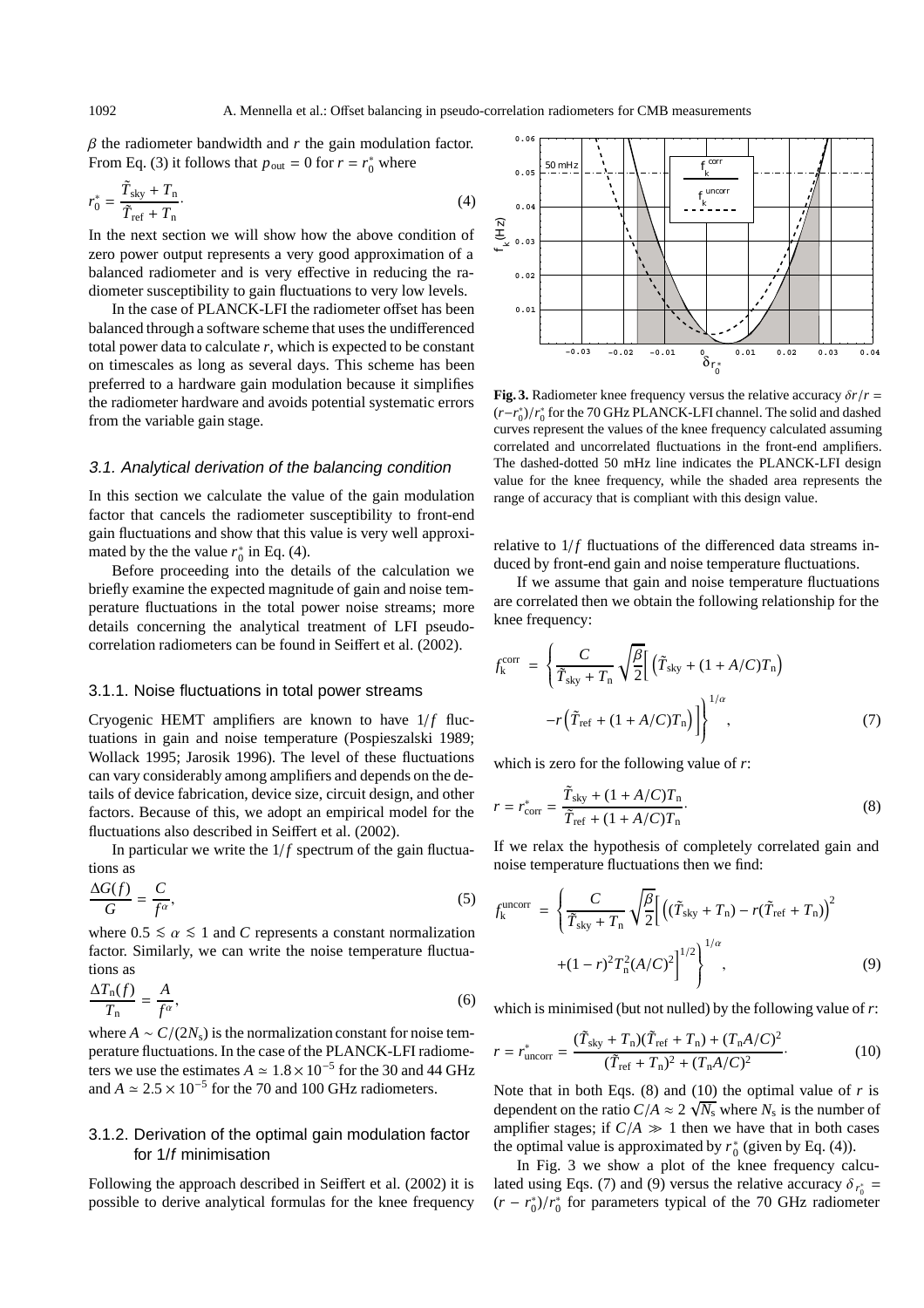$\beta$  the radiometer bandwidth and  $r$  the gain modulation factor. From Eq. (3) it follows that  $p_{\text{out}} = 0$  for  $r = r_0^*$  where

$$
r_0^* = \frac{\tilde{T}_{\text{sky}} + T_{\text{n}}}{\tilde{T}_{\text{ref}} + T_{\text{n}}}.\tag{4}
$$

In the next section we will show how the above condition of zero power output represents a very good approximation of a balanced radiometer and is very effective in reducing the radiometer susceptibility to gain fluctuations to very low levels.

In the case of PLANCK-LFI the radiometer offset has been balanced through a software scheme that uses the undifferenced total power data to calculate *r*, which is expected to be constant on timescales as long as several days. This scheme has been preferred to a hardware gain modulation because it simplifies the radiometer hardware and avoids potential systematic errors from the variable gain stage.

### 3.1. Analytical derivation of the balancing condition

In this section we calculate the value of the gain modulation factor that cancels the radiometer susceptibility to front-end gain fluctuations and show that this value is very well approximated by the the value  $r_0^*$  in Eq. (4).

Before proceeding into the details of the calculation we briefly examine the expected magnitude of gain and noise temperature fluctuations in the total power noise streams; more details concerning the analytical treatment of LFI pseudocorrelation radiometers can be found in Seiffert et al. (2002).

#### 3.1.1. Noise fluctuations in total power streams

Cryogenic HEMT amplifiers are known to have  $1/f$  fluctuations in gain and noise temperature (Pospieszalski 1989; Wollack 1995; Jarosik 1996). The level of these fluctuations can vary considerably among amplifiers and depends on the details of device fabrication, device size, circuit design, and other factors. Because of this, we adopt an empirical model for the fluctuations also described in Seiffert et al. (2002).

In particular we write the  $1/f$  spectrum of the gain fluctuations as

$$
\frac{\Delta G(f)}{G} = \frac{C}{f^{\alpha}},\tag{5}
$$

where  $0.5 \le \alpha \le 1$  and *C* represents a constant normalization factor. Similarly, we can write the noise temperature fluctuations as

$$
\frac{\Delta T_{\rm n}(f)}{T_{\rm n}} = \frac{A}{f^{\alpha}},\tag{6}
$$

where  $A \sim C/(2N_s)$  is the normalization constant for noise temperature fluctuations. In the case of the PLANCK-LFI radiometers we use the estimates  $A \approx 1.8 \times 10^{-5}$  for the 30 and 44 GHz and  $A \approx 2.5 \times 10^{-5}$  for the 70 and 100 GHz radiometers.

## 3.1.2. Derivation of the optimal gain modulation factor for 1/f minimisation

Following the approach described in Seiffert et al. (2002) it is possible to derive analytical formulas for the knee frequency



**Fig. 3.** Radiometer knee frequency versus the relative accuracy  $\delta r/r =$ (*r*−*r*<sub>0</sub><sup>\*</sup>)/*r*<sub>0</sub><sup>\*</sup> for the 70 GHz PLANCK-LFI channel. The solid and dashed curves represent the values of the knee frequency calculated assuming correlated and uncorrelated fluctuations in the front-end amplifiers. The dashed-dotted 50 mHz line indicates the PLANCK-LFI design value for the knee frequency, while the shaded area represents the range of accuracy that is compliant with this design value.

relative to  $1/f$  fluctuations of the differenced data streams induced by front-end gain and noise temperature fluctuations.

If we assume that gain and noise temperature fluctuations are correlated then we obtain the following relationship for the knee frequency:

$$
f_{k}^{\text{corr}} = \left\{ \frac{C}{\tilde{T}_{\text{sky}} + T_{\text{n}}} \sqrt{\frac{\beta}{2}} \Big[ \left( \tilde{T}_{\text{sky}} + (1 + A/C)T_{\text{n}} \right) - r \Big( \tilde{T}_{\text{ref}} + (1 + A/C)T_{\text{n}} \Big) \Big] \right\}^{1/\alpha},
$$
\n(7)

which is zero for the following value of *r*:

$$
r = r_{\text{corr}}^* = \frac{\tilde{T}_{\text{sky}} + (1 + A/C)T_{\text{n}}}{\tilde{T}_{\text{ref}} + (1 + A/C)T_{\text{n}}}.
$$
\n(8)

If we relax the hypothesis of completely correlated gain and noise temperature fluctuations then we find:

$$
f_{k}^{\text{uncorr}} = \left\{ \frac{C}{\tilde{T}_{\text{sky}} + T_{\text{n}}} \sqrt{\frac{\beta}{2}} \Big[ \left( (\tilde{T}_{\text{sky}} + T_{\text{n}}) - r(\tilde{T}_{\text{ref}} + T_{\text{n}}) \right)^{2} + (1 - r)^{2} T_{\text{n}}^{2} (A/C)^{2} \Big]^{1/2} \right\}^{1/\alpha},
$$
\n(9)

which is minimised (but not nulled) by the following value of*r*:

$$
r = r_{\text{uncorr}}^{*} = \frac{(\tilde{T}_{\text{sky}} + T_{\text{n}})(\tilde{T}_{\text{ref}} + T_{\text{n}}) + (T_{\text{n}}A/C)^{2}}{(\tilde{T}_{\text{ref}} + T_{\text{n}})^{2} + (T_{\text{n}}A/C)^{2}}.
$$
(10)

Note that in both Eqs. (8) and (10) the optimal value of *r* is dependent on the ratio  $C/A \approx 2 \sqrt{N_s}$  where  $N_s$  is the number of amplifier stages; if  $C/A \gg 1$  then we have that in both cases the optimal value is approximated by  $r_0^*$  (given by Eq. (4)).

In Fig. 3 we show a plot of the knee frequency calculated using Eqs. (7) and (9) versus the relative accuracy  $\delta_{r_0^*}$  =  $(r - r_0^*)/r_0^*$  for parameters typical of the 70 GHz radiometer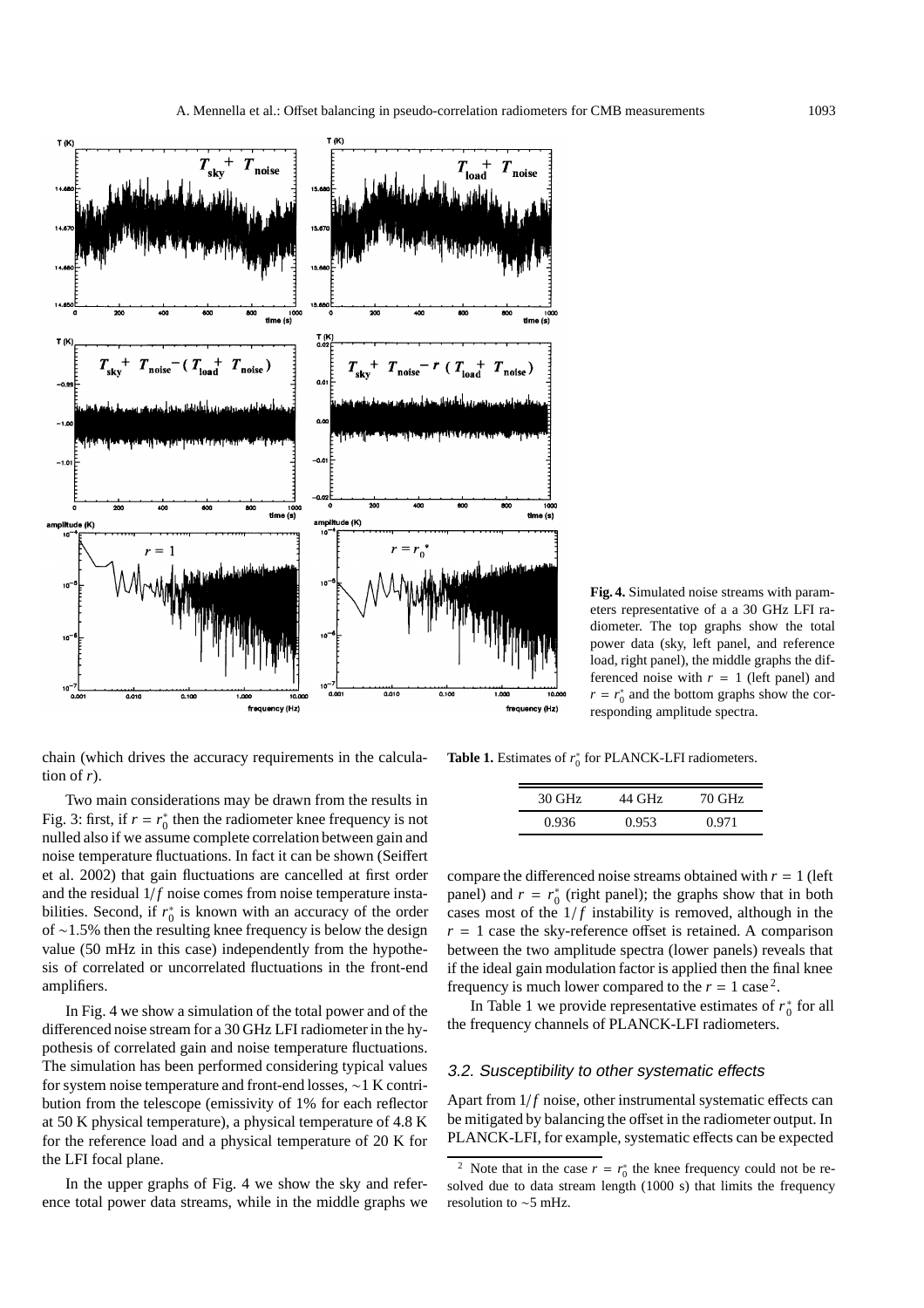

**Fig. 4.** Simulated noise streams with parameters representative of a a 30 GHz LFI radiometer. The top graphs show the total power data (sky, left panel, and reference load, right panel), the middle graphs the differenced noise with  $r = 1$  (left panel) and  $r = r_0^*$  and the bottom graphs show the corresponding amplitude spectra.

chain (which drives the accuracy requirements in the calculation of  $r$ ).

Two main considerations may be drawn from the results in Fig. 3: first, if  $r = r_0^*$  then the radiometer knee frequency is not nulled also if we assume complete correlation between gain and noise temperature fluctuations. In fact it can be shown (Seiffert et al. 2002) that gain fluctuations are cancelled at first order and the residual  $1/f$  noise comes from noise temperature instabilities. Second, if  $r_0^*$  is known with an accuracy of the order of ∼1.5% then the resulting knee frequency is below the design value (50 mHz in this case) independently from the hypothesis of correlated or uncorrelated fluctuations in the front-end amplifiers.

In Fig. 4 we show a simulation of the total power and of the differenced noise stream for a 30 GHz LFI radiometer in the hypothesis of correlated gain and noise temperature fluctuations. The simulation has been performed considering typical values for system noise temperature and front-end losses, ∼1 K contribution from the telescope (emissivity of 1% for each reflector at 50 K physical temperature), a physical temperature of 4.8 K for the reference load and a physical temperature of 20 K for the LFI focal plane.

In the upper graphs of Fig. 4 we show the sky and reference total power data streams, while in the middle graphs we

**Table 1.** Estimates of  $r_0^*$  for PLANCK-LFI radiometers.

| 30 GHz | 44 GHz | 70 GHz |
|--------|--------|--------|
| 0.936  | 0.953  | 0.971  |

compare the differenced noise streams obtained with  $r = 1$  (left panel) and  $r = r_0^*$  (right panel); the graphs show that in both cases most of the  $1/f$  instability is removed, although in the  $r = 1$  case the sky-reference offset is retained. A comparison between the two amplitude spectra (lower panels) reveals that if the ideal gain modulation factor is applied then the final knee frequency is much lower compared to the  $r = 1$  case<sup>2</sup>.

In Table 1 we provide representative estimates of  $r_0^*$  for all the frequency channels of PLANCK-LFI radiometers.

## 3.2. Susceptibility to other systematic effects

Apart from  $1/f$  noise, other instrumental systematic effects can be mitigated by balancing the offset in the radiometer output. In PLANCK-LFI, for example, systematic effects can be expected

<sup>&</sup>lt;sup>2</sup> Note that in the case  $r = r_0^*$  the knee frequency could not be resolved due to data stream length (1000 s) that limits the frequency resolution to ∼5 mHz.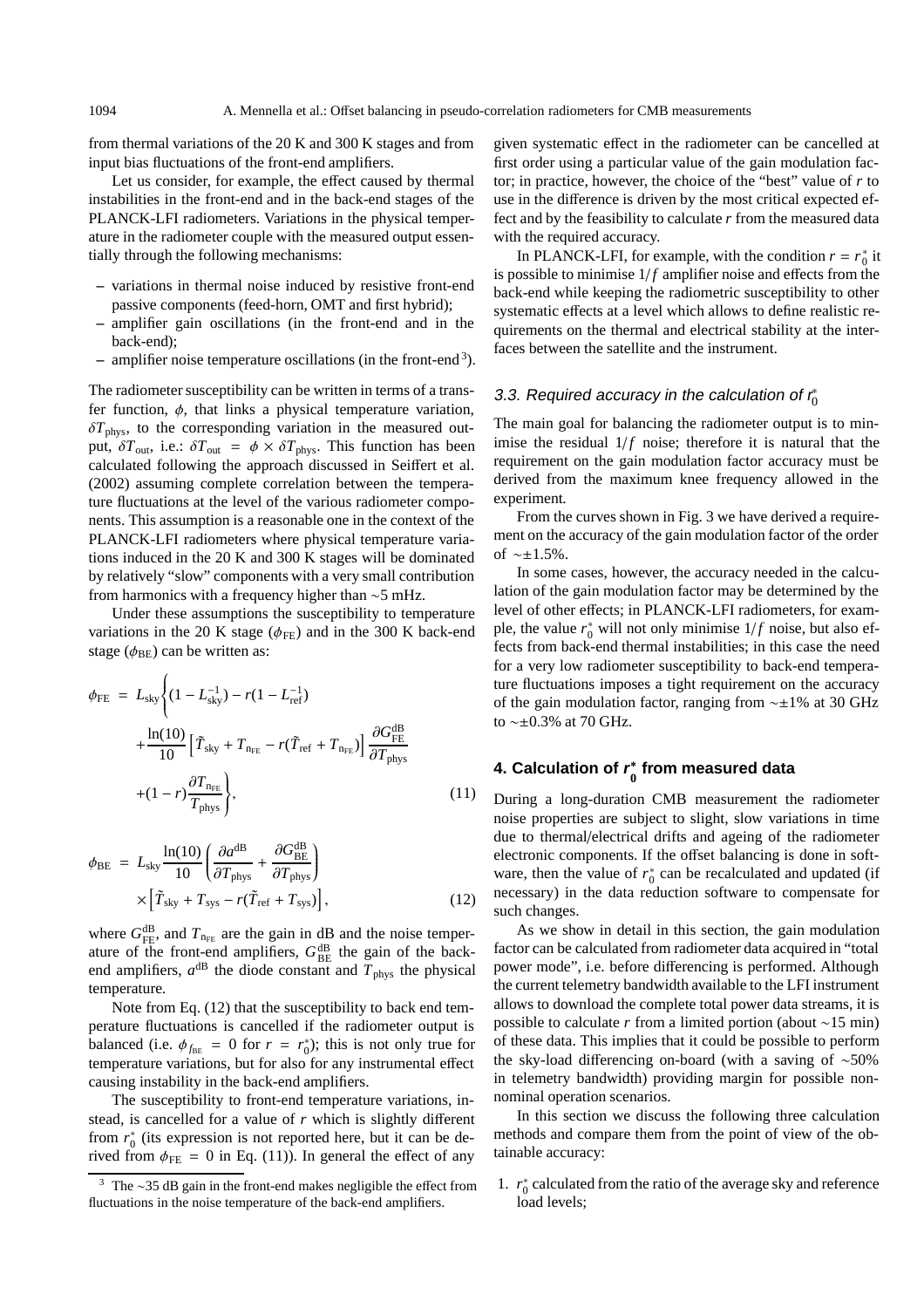from thermal variations of the 20 K and 300 K stages and from input bias fluctuations of the front-end amplifiers.

Let us consider, for example, the effect caused by thermal instabilities in the front-end and in the back-end stages of the PLANCK-LFI radiometers. Variations in the physical temperature in the radiometer couple with the measured output essentially through the following mechanisms:

- **–** variations in thermal noise induced by resistive front-end passive components (feed-horn, OMT and first hybrid);
- **–** amplifier gain oscillations (in the front-end and in the back-end);
- **–** amplifier noise temperature oscillations (in the front-end3).

The radiometer susceptibility can be written in terms of a transfer function,  $\phi$ , that links a physical temperature variation,  $\delta T_{\text{phys}}$ , to the corresponding variation in the measured output,  $\delta T_{\text{out}}$ , i.e.:  $\delta T_{\text{out}} = \phi \times \delta T_{\text{phys}}$ . This function has been calculated following the approach discussed in Seiffert et al. (2002) assuming complete correlation between the temperature fluctuations at the level of the various radiometer components. This assumption is a reasonable one in the context of the PLANCK-LFI radiometers where physical temperature variations induced in the 20 K and 300 K stages will be dominated by relatively "slow" components with a very small contribution from harmonics with a frequency higher than ∼5 mHz.

Under these assumptions the susceptibility to temperature variations in the 20 K stage ( $\phi$ <sub>FE</sub>) and in the 300 K back-end stage ( $\phi_{BE}$ ) can be written as:

$$
\phi_{\rm FE} = L_{\rm sky} \Biggl\{ (1 - L_{\rm sky}^{-1}) - r(1 - L_{\rm ref}^{-1}) + \frac{\ln(10)}{10} \Big[ \tilde{T}_{\rm sky} + T_{\rm n_{\rm FE}} - r(\tilde{T}_{\rm ref} + T_{\rm n_{\rm FE}}) \Big] \frac{\partial G_{\rm FE}^{\rm dB}}{\partial T_{\rm phys}} + (1 - r) \frac{\partial T_{\rm n_{\rm FE}}}{T_{\rm phys}} \Biggr\},
$$
\n(11)

$$
\phi_{BE} = L_{sky} \frac{\ln(10)}{10} \left( \frac{\partial a^{dB}}{\partial T_{phys}} + \frac{\partial G_{BE}^{dB}}{\partial T_{phys}} \right) \times \left[ \tilde{T}_{sky} + T_{sys} - r(\tilde{T}_{ref} + T_{sys}) \right],
$$
\n(12)

where  $G_{\text{FE}}^{\text{dB}}$ , and  $T_{\text{n}_{\text{FE}}}$  are the gain in dB and the noise temperature of the front-end amplifiers,  $G_{BE}^{dB}$  the gain of the backend amplifiers,  $a^{dB}$  the diode constant and  $T_{phys}$  the physical temperature.

Note from Eq. (12) that the susceptibility to back end temperature fluctuations is cancelled if the radiometer output is balanced (i.e.  $\phi_{f_{BE}} = 0$  for  $r = r_0^*$ ); this is not only true for temperature variations, but for also for any instrumental effect causing instability in the back-end amplifiers.

The susceptibility to front-end temperature variations, instead, is cancelled for a value of *r* which is slightly different from  $r_0^*$  (its expression is not reported here, but it can be derived from  $\phi_{\text{FE}} = 0$  in Eq. (11)). In general the effect of any

given systematic effect in the radiometer can be cancelled at first order using a particular value of the gain modulation factor; in practice, however, the choice of the "best" value of *r* to use in the difference is driven by the most critical expected effect and by the feasibility to calculate *r* from the measured data with the required accuracy.

In PLANCK-LFI, for example, with the condition  $r = r_0^*$  it is possible to minimise  $1/f$  amplifier noise and effects from the back-end while keeping the radiometric susceptibility to other systematic effects at a level which allows to define realistic requirements on the thermal and electrical stability at the interfaces between the satellite and the instrument.

## 3.3. Required accuracy in the calculation of  $\mathsf{r}_0^*$

The main goal for balancing the radiometer output is to minimise the residual  $1/f$  noise; therefore it is natural that the requirement on the gain modulation factor accuracy must be derived from the maximum knee frequency allowed in the experiment.

From the curves shown in Fig. 3 we have derived a requirement on the accuracy of the gain modulation factor of the order of ∼±1.5%.

In some cases, however, the accuracy needed in the calculation of the gain modulation factor may be determined by the level of other effects; in PLANCK-LFI radiometers, for example, the value  $r_0^*$  will not only minimise  $1/f$  noise, but also effects from back-end thermal instabilities; in this case the need for a very low radiometer susceptibility to back-end temperature fluctuations imposes a tight requirement on the accuracy of the gain modulation factor, ranging from ∼±1% at 30 GHz to ∼±0.3% at 70 GHz.

## **4. Calculation of <sup>r</sup>**∗ **0 from measured data**

During a long-duration CMB measurement the radiometer noise properties are subject to slight, slow variations in time due to thermal/electrical drifts and ageing of the radiometer electronic components. If the offset balancing is done in software, then the value of  $r_0^*$  can be recalculated and updated (if necessary) in the data reduction software to compensate for such changes.

As we show in detail in this section, the gain modulation factor can be calculated from radiometer data acquired in "total power mode", i.e. before differencing is performed. Although the current telemetry bandwidth available to the LFI instrument allows to download the complete total power data streams, it is possible to calculate *r* from a limited portion (about ∼15 min) of these data. This implies that it could be possible to perform the sky-load differencing on-board (with a saving of ∼50% in telemetry bandwidth) providing margin for possible nonnominal operation scenarios.

In this section we discuss the following three calculation methods and compare them from the point of view of the obtainable accuracy:

1.  $r_0^*$  calculated from the ratio of the average sky and reference load levels;

<sup>&</sup>lt;sup>3</sup> The ∼35 dB gain in the front-end makes negligible the effect from fluctuations in the noise temperature of the back-end amplifiers.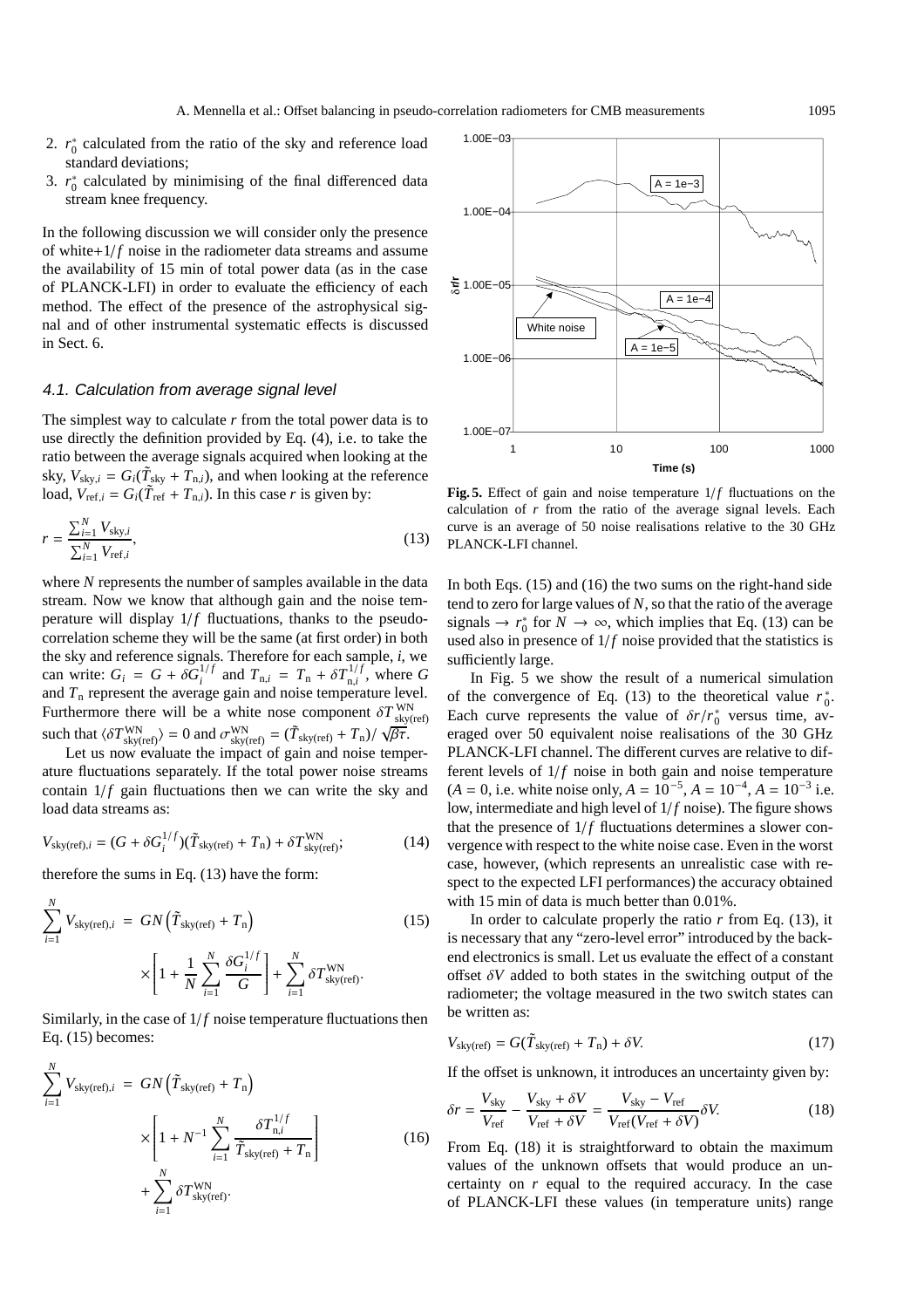- 2.  $r_0^*$  calculated from the ratio of the sky and reference load standard deviations;
- 3.  $r_0^*$  calculated by minimising of the final differenced data stream knee frequency.

In the following discussion we will consider only the presence of white $+1/f$  noise in the radiometer data streams and assume the availability of 15 min of total power data (as in the case of PLANCK-LFI) in order to evaluate the efficiency of each method. The effect of the presence of the astrophysical signal and of other instrumental systematic effects is discussed in Sect. 6.

#### 4.1. Calculation from average signal level

The simplest way to calculate *r* from the total power data is to use directly the definition provided by Eq. (4), i.e. to take the ratio between the average signals acquired when looking at the sky,  $V_{\text{sky},i} = G_i(\tilde{T}_{\text{sky}} + T_{n,i})$ , and when looking at the reference load,  $V_{ref,i} = G_i(\tilde{T}_{ref} + T_{n,i})$ . In this case *r* is given by:

$$
r = \frac{\sum_{i=1}^{N} V_{\text{sky},i}}{\sum_{i=1}^{N} V_{\text{ref},i}},
$$
\n(13)

where *N* represents the number of samples available in the data stream. Now we know that although gain and the noise temperature will display  $1/f$  fluctuations, thanks to the pseudocorrelation scheme they will be the same (at first order) in both the sky and reference signals. Therefore for each sample, *i*, we can write:  $G_i = G + \delta G_i^{1/f}$  and  $T_{n,i} = T_n + \delta T_{n,i}^{1/f}$ , where  $G$ and  $T_n$  represent the average gain and noise temperature level. Furthermore there will be a white nose component  $\delta T_{\text{sky(ref)}}^{\text{WN}}$ such that  $\langle \delta T_{\text{sky(ref)}}^{\text{WN}} \rangle = 0$  and  $\sigma_{\text{sky(ref)}}^{\text{WN}} = (\tilde{T}_{\text{sky(ref)}} + T_{\text{n}})/\sqrt{\beta \tau}$ .

Let us now evaluate the impact of gain and noise temperature fluctuations separately. If the total power noise streams contain  $1/f$  gain fluctuations then we can write the sky and load data streams as:

$$
V_{\text{sky(ref)},i} = (G + \delta G_i^{1/f})(\tilde{T}_{\text{sky(ref)}} + T_n) + \delta T_{\text{sky(ref)}}^{\text{WN}};
$$
 (14)

therefore the sums in Eq. (13) have the form:

$$
\sum_{i=1}^{N} V_{\text{sky(ref)},i} = GN\left(\tilde{T}_{\text{sky(ref)}} + T_{\text{n}}\right)
$$
\n
$$
\times \left[1 + \frac{1}{N} \sum_{i=1}^{N} \frac{\delta G_i^{1/f}}{G}\right] + \sum_{i=1}^{N} \delta T_{\text{sky(ref)}}^{\text{WN}}.
$$
\n(15)

Similarly, in the case of  $1/f$  noise temperature fluctuations then Eq. (15) becomes:

$$
\sum_{i=1}^{N} V_{\text{sky(ref)},i} = GN\left(\tilde{T}_{\text{sky(ref)}} + T_{\text{n}}\right)
$$

$$
\times \left[1 + N^{-1} \sum_{i=1}^{N} \frac{\delta T_{\text{n},i}^{1/f}}{\tilde{T}_{\text{sky(ref)}} + T_{\text{n}}}\right]
$$
(16)
$$
+ \sum_{i=1}^{N} \delta T_{\text{sky(ref)}}^{\text{WN}}.
$$



**Fig. 5.** Effect of gain and noise temperature  $1/f$  fluctuations on the calculation of *r* from the ratio of the average signal levels. Each curve is an average of 50 noise realisations relative to the 30 GHz PLANCK-LFI channel.

In both Eqs. (15) and (16) the two sums on the right-hand side tend to zero for large values of *N*, so that the ratio of the average signals  $\rightarrow r_0^*$  for  $N \rightarrow \infty$ , which implies that Eq. (13) can be used also in presence of  $1/f$  noise provided that the statistics is sufficiently large.

In Fig. 5 we show the result of a numerical simulation of the convergence of Eq. (13) to the theoretical value  $r_0^*$ . Each curve represents the value of  $\delta r/r_0^*$  versus time, averaged over 50 equivalent noise realisations of the 30 GHz PLANCK-LFI channel. The different curves are relative to different levels of  $1/f$  noise in both gain and noise temperature  $(A = 0, i.e.$  white noise only,  $A = 10^{-5}$ ,  $A = 10^{-4}$ ,  $A = 10^{-3}$  i.e. low, intermediate and high level of  $1/f$  noise). The figure shows that the presence of  $1/f$  fluctuations determines a slower convergence with respect to the white noise case. Even in the worst case, however, (which represents an unrealistic case with respect to the expected LFI performances) the accuracy obtained with 15 min of data is much better than 0.01%.

In order to calculate properly the ratio  $r$  from Eq. (13), it is necessary that any "zero-level error" introduced by the backend electronics is small. Let us evaluate the effect of a constant offset  $\delta V$  added to both states in the switching output of the radiometer; the voltage measured in the two switch states can be written as:

$$
V_{\text{sky(ref)}} = G(\tilde{T}_{\text{sky(ref)}} + T_{\text{n}}) + \delta V. \tag{17}
$$

If the offset is unknown, it introduces an uncertainty given by:

$$
\delta r = \frac{V_{\rm sky}}{V_{\rm ref}} - \frac{V_{\rm sky} + \delta V}{V_{\rm ref} + \delta V} = \frac{V_{\rm sky} - V_{\rm ref}}{V_{\rm ref}(V_{\rm ref} + \delta V)} \delta V. \tag{18}
$$

From Eq. (18) it is straightforward to obtain the maximum values of the unknown offsets that would produce an uncertainty on *r* equal to the required accuracy. In the case of PLANCK-LFI these values (in temperature units) range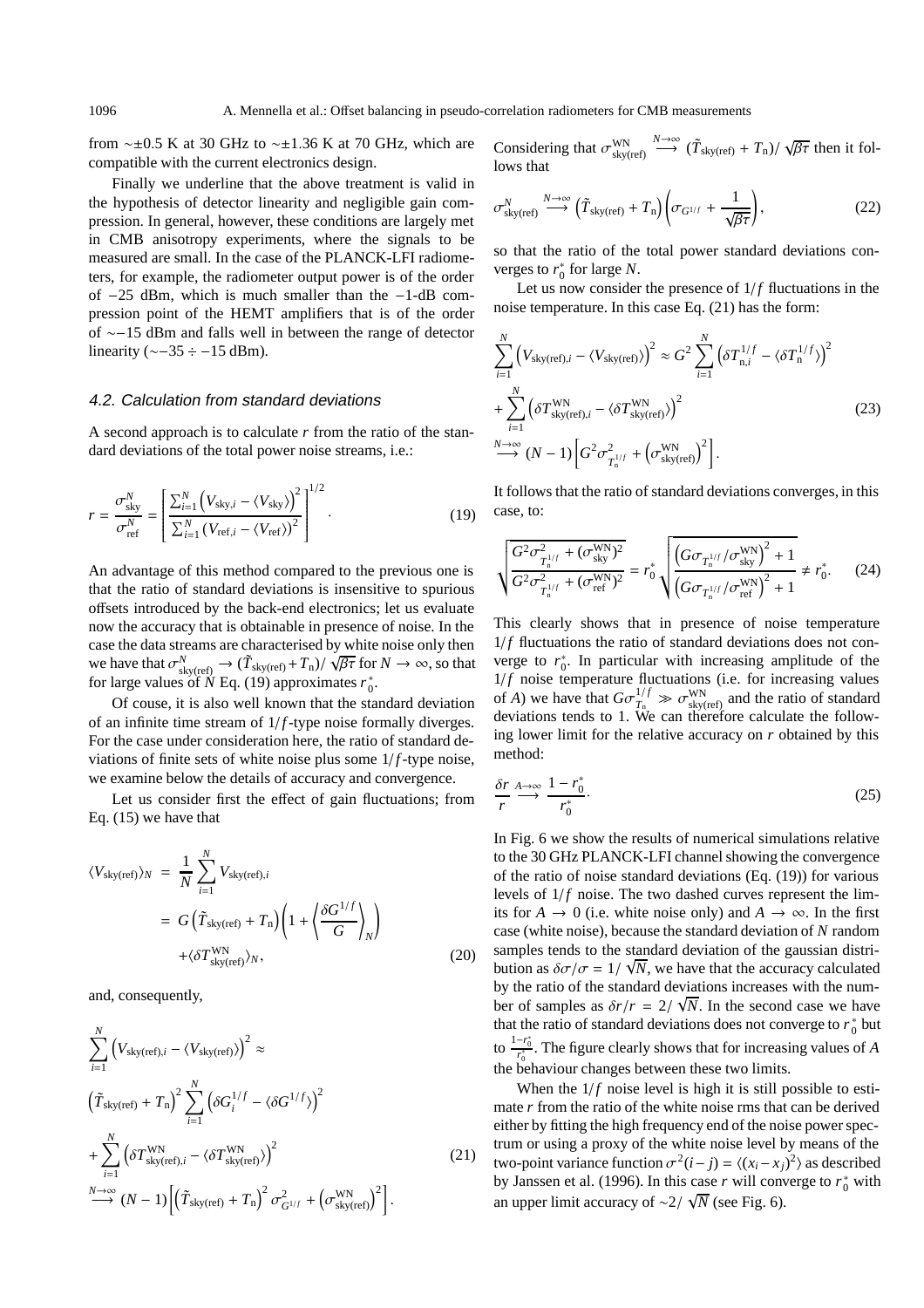from ~±0.5 K at 30 GHz to ~±1.36 K at 70 GHz, which are compatible with the current electronics design.

Finally we underline that the above treatment is valid in the hypothesis of detector linearity and negligible gain compression. In general, however, these conditions are largely met in CMB anisotropy experiments, where the signals to be measured are small. In the case of the PLANCK-LFI radiometers, for example, the radiometer output power is of the order of −25 dBm, which is much smaller than the −1-dB compression point of the HEMT amplifiers that is of the order of ∼−15 dBm and falls well in between the range of detector linearity ( $\sim$ −35 ÷ −15 dBm).

## 4.2. Calculation from standard deviations

A second approach is to calculate *r* from the ratio of the standard deviations of the total power noise streams, i.e.:

$$
r = \frac{\sigma_{\text{sky}}^{N}}{\sigma_{\text{ref}}^{N}} = \left[ \frac{\sum_{i=1}^{N} (V_{\text{sky},i} - \langle V_{\text{sky}} \rangle)^{2}}{\sum_{i=1}^{N} (V_{\text{ref},i} - \langle V_{\text{ref}} \rangle)^{2}} \right]^{1/2}.
$$
 (19)

An advantage of this method compared to the previous one is that the ratio of standard deviations is insensitive to spurious offsets introduced by the back-end electronics; let us evaluate now the accuracy that is obtainable in presence of noise. In the case the data streams are characterised by white noise only then we have that  $\sigma_{sky(ref)}^N \to (\tilde{T}_{sky(ref)} + T_n) / \sqrt{\beta \tau}$  for  $N \to \infty$ , so that for large values of  $\dot{N}$  Eq. (19) approximates  $r_0^*$ .

Of couse, it is also well known that the standard deviation of an infinite time stream of  $1/f$ -type noise formally diverges. For the case under consideration here, the ratio of standard deviations of finite sets of white noise plus some  $1/f$ -type noise, we examine below the details of accuracy and convergence.

Let us consider first the effect of gain fluctuations; from Eq. (15) we have that

$$
\langle V_{\text{sky(ref)}} \rangle_N = \frac{1}{N} \sum_{i=1}^N V_{\text{sky(ref)},i}
$$
  
=  $G\left(\tilde{T}_{\text{sky(ref)}} + T_n\right) \left(1 + \left\langle \frac{\delta G^{1/f}}{G} \right\rangle_N\right)$   
+ $\langle \delta T_{\text{sky(ref)}}^{\text{WN}} \rangle_N$ , (20)

and, consequently,

$$
\sum_{i=1}^{N} \left( V_{\text{sky(ref)},i} - \langle V_{\text{sky(ref)}} \rangle \right)^2 \approx
$$
\n
$$
\left( \tilde{T}_{\text{sky(ref)}} + T_{\text{n}} \right)^2 \sum_{i=1}^{N} \left( \delta G_i^{1/f} - \langle \delta G^{1/f} \rangle \right)^2
$$
\n
$$
+ \sum_{i=1}^{N} \left( \delta T_{\text{sky(ref)},i}^{\text{WN}} - \langle \delta T_{\text{sky(ref)}}^{\text{NN}} \rangle \right)^2
$$
\n
$$
\stackrel{N \to \infty}{\longrightarrow} (N-1) \left[ \left( \tilde{T}_{\text{sky(ref)}} + T_{\text{n}} \right)^2 \sigma_{G^{1/f}}^2 + \left( \sigma_{\text{sky(ref)}}^{\text{WN}} \right)^2 \right].
$$
\n(21)

Considering that  $\sigma_{\text{sky(ref)}}^{\text{WN}}$  $\stackrel{N\to\infty}{\longrightarrow}$   $(\tilde{T}_{\text{sky(ref)}} + T_{\text{n}})/\sqrt{\beta\tau}$  then it follows that

$$
\sigma_{\rm sky(ref)}^N \stackrel{N \to \infty}{\longrightarrow} \left(\tilde{T}_{\rm sky(ref)} + T_{\rm n}\right) \left(\sigma_{G^{1/f}} + \frac{1}{\sqrt{\beta \tau}}\right),\tag{22}
$$

so that the ratio of the total power standard deviations converges to  $r_0^*$  for large *N*.

Let us now consider the presence of  $1/f$  fluctuations in the noise temperature. In this case Eq. (21) has the form:

$$
\sum_{i=1}^{N} \left( V_{\text{sky(ref)},i} - \langle V_{\text{sky(ref)}} \rangle \right)^2 \approx G^2 \sum_{i=1}^{N} \left( \delta T_{\text{n},i}^{1/f} - \langle \delta T_{\text{n}}^{1/f} \rangle \right)^2
$$
  
+ 
$$
\sum_{i=1}^{N} \left( \delta T_{\text{sky(ref)},i}^{WN} - \langle \delta T_{\text{sky(ref)}}^{WN} \rangle \right)^2
$$
(23)  

$$
\sum_{i=1}^{N \to \infty} (N-1) \left[ G^2 \sigma_{T_{\text{n}}^{1/f}}^2 + \left( \sigma_{\text{sky(ref)}}^{WN} \right)^2 \right].
$$

It follows that the ratio of standard deviations converges, in this case, to:

$$
\sqrt{\frac{G^2 \sigma_{T_1^{1/f}}^2 + (\sigma_{\text{sky}}^{\text{WN}})^2}{G^2 \sigma_{T_1^{1/f}}^2 + (\sigma_{\text{ref}}^{\text{WN}})^2}} = r_0^* \sqrt{\frac{\left(G \sigma_{T_1^{1/f}} / \sigma_{\text{sky}}^{\text{WN}}\right)^2 + 1}{\left(G \sigma_{T_1^{1/f}} / \sigma_{\text{ref}}^{\text{WN}}\right)^2 + 1}} \neq r_0^*.
$$
 (24)

This clearly shows that in presence of noise temperature  $1/f$  fluctuations the ratio of standard deviations does not converge to  $r_0^*$ . In particular with increasing amplitude of the  $1/f$  noise temperature fluctuations (i.e. for increasing values of *A*) we have that  $G\sigma_{T_n}^{1/f} \gg \sigma_{\text{sky(ref)}}^{\text{WN}}$  and the ratio of standard deviations tends to 1. We can therefore calculate the following lower limit for the relative accuracy on *r* obtained by this method:

$$
\frac{\delta r}{r} \xrightarrow{A \to \infty} \frac{1 - r_0^*}{r_0^*}.
$$
\n(25)

In Fig. 6 we show the results of numerical simulations relative to the 30 GHz PLANCK-LFI channel showing the convergence of the ratio of noise standard deviations (Eq. (19)) for various levels of  $1/f$  noise. The two dashed curves represent the limits for  $A \to 0$  (i.e. white noise only) and  $A \to \infty$ . In the first case (white noise), because the standard deviation of *N* random samples tends to the standard deviation of the gaussian distribution as  $\delta\sigma/\sigma = 1/\sqrt{N}$ , we have that the accuracy calculated by the ratio of the standard deviations increases with the number of samples as  $\delta r/r = 2/\sqrt{N}$ . In the second case we have that the ratio of standard deviations does not converge to  $r_0^*$  but to  $\frac{1-r_0^*}{r_0^*}$ . The figure clearly shows that for increasing values of *A* the behaviour changes between these two limits.

When the  $1/f$  noise level is high it is still possible to estimate *r* from the ratio of the white noise rms that can be derived either by fitting the high frequency end of the noise power spectrum or using a proxy of the white noise level by means of the two-point variance function  $\sigma^2(i-j) = \langle (x_i - x_j)^2 \rangle$  as described by Janssen et al. (1996). In this case  $r$  will converge to  $r_0^*$  with an upper limit accuracy of  $\sim$ 2/  $\sqrt{N}$  (see Fig. 6).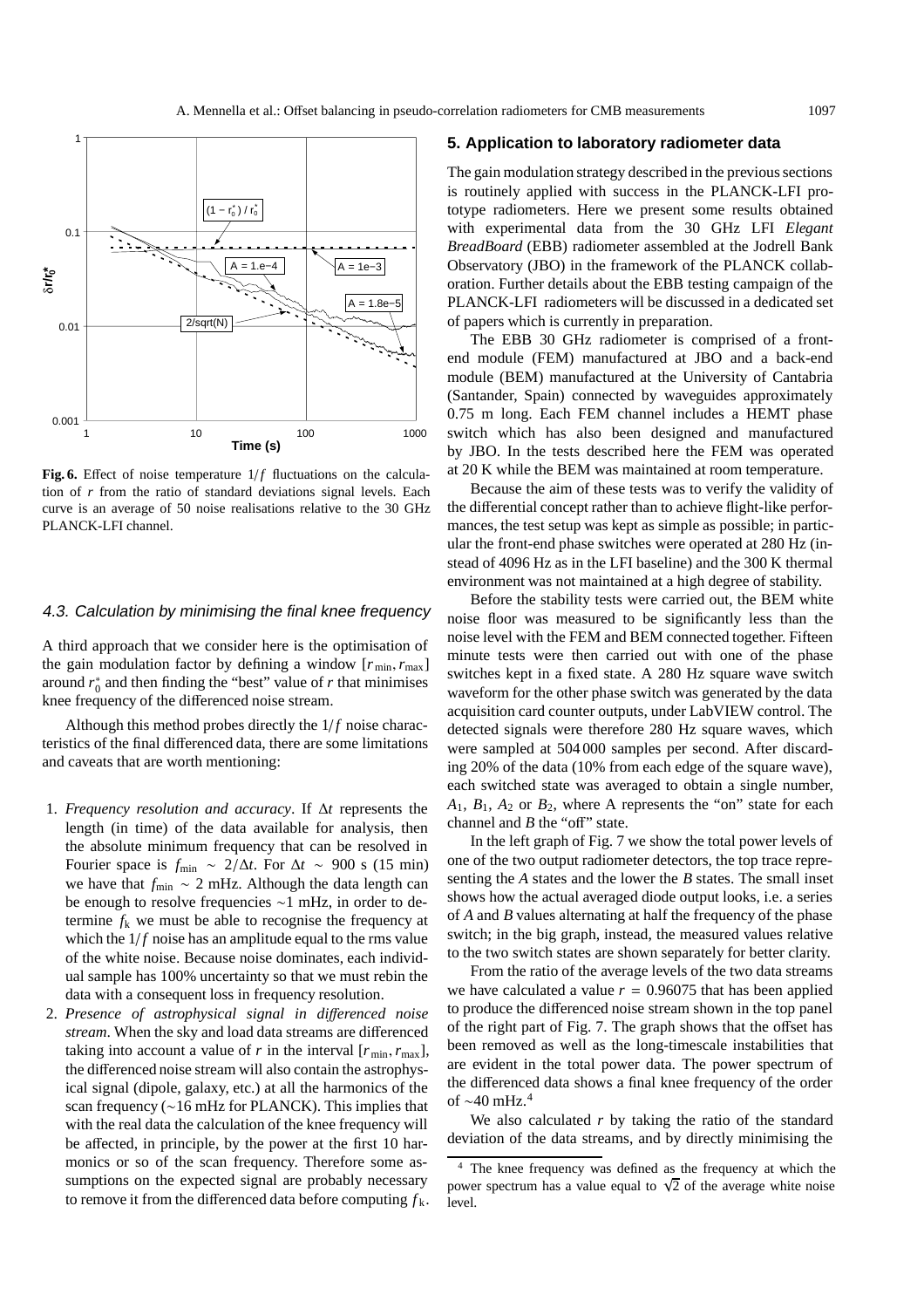

Fig. 6. Effect of noise temperature  $1/f$  fluctuations on the calculation of *r* from the ratio of standard deviations signal levels. Each curve is an average of 50 noise realisations relative to the 30 GHz PLANCK-LFI channel.

#### 4.3. Calculation by minimising the final knee frequency

A third approach that we consider here is the optimisation of the gain modulation factor by defining a window  $[r_{\min}, r_{\max}]$ around  $r_0^*$  and then finding the "best" value of  $r$  that minimises knee frequency of the differenced noise stream.

Although this method probes directly the  $1/f$  noise characteristics of the final differenced data, there are some limitations and caveats that are worth mentioning:

- 1. *Frequency resolution and accuracy*. If ∆*t* represents the length (in time) of the data available for analysis, then the absolute minimum frequency that can be resolved in Fourier space is  $f_{\text{min}} \sim 2/\Delta t$ . For  $\Delta t \sim 900$  s (15 min) we have that *f*<sub>min</sub> ∼ 2 mHz. Although the data length can be enough to resolve frequencies ∼1 mHz, in order to determine  $f_k$  we must be able to recognise the frequency at which the  $1/f$  noise has an amplitude equal to the rms value of the white noise. Because noise dominates, each individual sample has 100% uncertainty so that we must rebin the data with a consequent loss in frequency resolution.
- 2. *Presence of astrophysical signal in di*ff*erenced noise stream*. When the sky and load data streams are differenced taking into account a value of *r* in the interval  $[r_{\min}, r_{\max}]$ , the differenced noise stream will also contain the astrophysical signal (dipole, galaxy, etc.) at all the harmonics of the scan frequency (∼16 mHz for PLANCK). This implies that with the real data the calculation of the knee frequency will be affected, in principle, by the power at the first 10 harmonics or so of the scan frequency. Therefore some assumptions on the expected signal are probably necessary to remove it from the differenced data before computing  $f_k$ .

#### **5. Application to laboratory radiometer data**

The gain modulation strategy described in the previous sections is routinely applied with success in the PLANCK-LFI prototype radiometers. Here we present some results obtained with experimental data from the 30 GHz LFI *Elegant BreadBoard* (EBB) radiometer assembled at the Jodrell Bank Observatory (JBO) in the framework of the PLANCK collaboration. Further details about the EBB testing campaign of the PLANCK-LFI radiometers will be discussed in a dedicated set of papers which is currently in preparation.

The EBB 30 GHz radiometer is comprised of a frontend module (FEM) manufactured at JBO and a back-end module (BEM) manufactured at the University of Cantabria (Santander, Spain) connected by waveguides approximately 0.75 m long. Each FEM channel includes a HEMT phase switch which has also been designed and manufactured by JBO. In the tests described here the FEM was operated at 20 K while the BEM was maintained at room temperature.

Because the aim of these tests was to verify the validity of the differential concept rather than to achieve flight-like performances, the test setup was kept as simple as possible; in particular the front-end phase switches were operated at 280 Hz (instead of 4096 Hz as in the LFI baseline) and the 300 K thermal environment was not maintained at a high degree of stability.

Before the stability tests were carried out, the BEM white noise floor was measured to be significantly less than the noise level with the FEM and BEM connected together. Fifteen minute tests were then carried out with one of the phase switches kept in a fixed state. A 280 Hz square wave switch waveform for the other phase switch was generated by the data acquisition card counter outputs, under LabVIEW control. The detected signals were therefore 280 Hz square waves, which were sampled at 504 000 samples per second. After discarding 20% of the data (10% from each edge of the square wave), each switched state was averaged to obtain a single number,  $A_1$ ,  $B_1$ ,  $A_2$  or  $B_2$ , where A represents the "on" state for each channel and *B* the "off" state.

In the left graph of Fig. 7 we show the total power levels of one of the two output radiometer detectors, the top trace representing the *A* states and the lower the *B* states. The small inset shows how the actual averaged diode output looks, i.e. a series of *A* and *B* values alternating at half the frequency of the phase switch; in the big graph, instead, the measured values relative to the two switch states are shown separately for better clarity.

From the ratio of the average levels of the two data streams we have calculated a value  $r = 0.96075$  that has been applied to produce the differenced noise stream shown in the top panel of the right part of Fig. 7. The graph shows that the offset has been removed as well as the long-timescale instabilities that are evident in the total power data. The power spectrum of the differenced data shows a final knee frequency of the order of  $\sim$ 40 mHz.<sup>4</sup>

We also calculated *r* by taking the ratio of the standard deviation of the data streams, and by directly minimising the

The knee frequency was defined as the frequency at which the power spectrum has a value equal to  $\sqrt{2}$  of the average white noise level.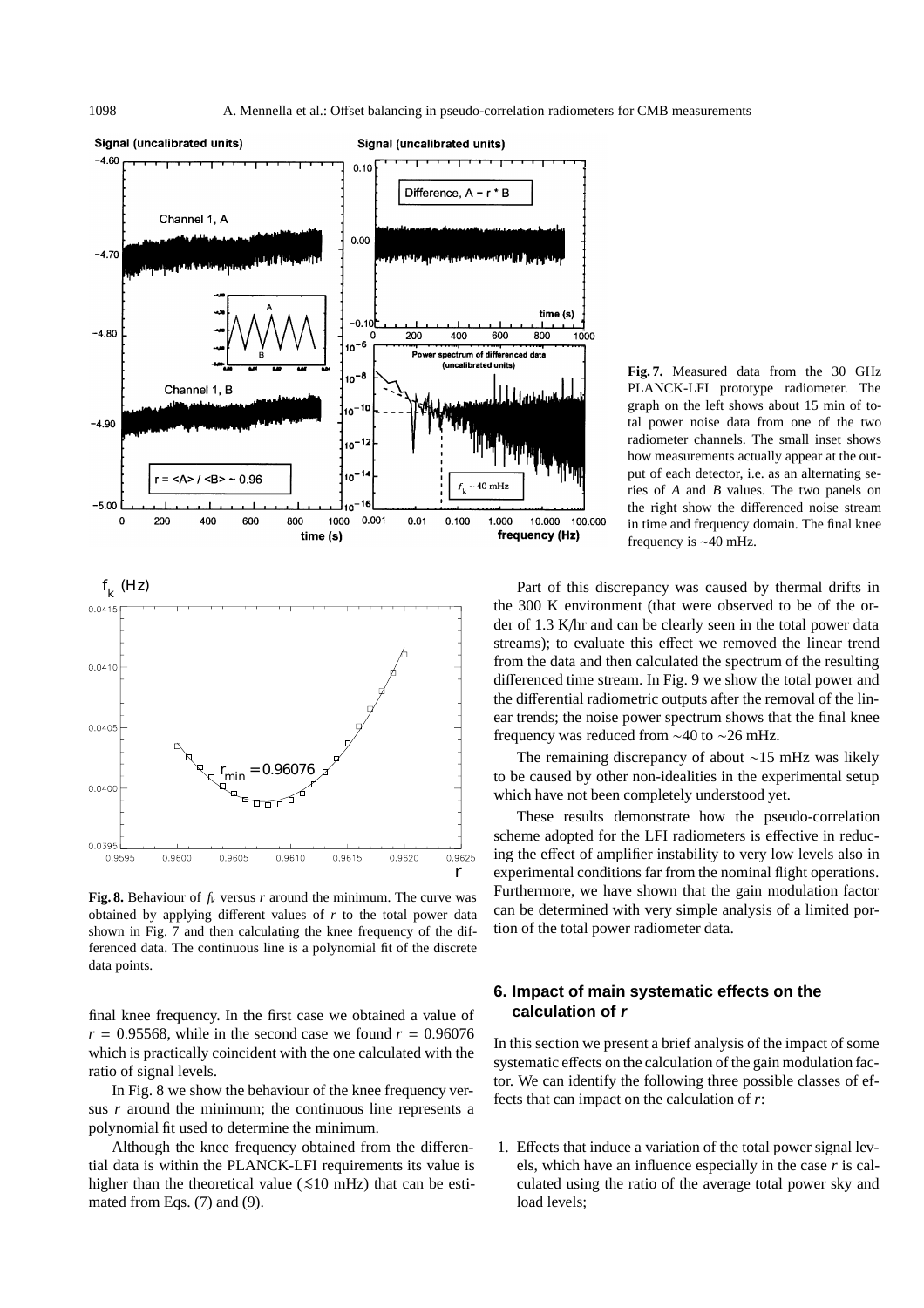



**Fig. 8.** Behaviour of  $f_k$  versus  $r$  around the minimum. The curve was obtained by applying different values of *r* to the total power data shown in Fig. 7 and then calculating the knee frequency of the differenced data. The continuous line is a polynomial fit of the discrete data points.

final knee frequency. In the first case we obtained a value of  $r = 0.95568$ , while in the second case we found  $r = 0.96076$ which is practically coincident with the one calculated with the ratio of signal levels.

In Fig. 8 we show the behaviour of the knee frequency versus *r* around the minimum; the continuous line represents a polynomial fit used to determine the minimum.

Although the knee frequency obtained from the differential data is within the PLANCK-LFI requirements its value is higher than the theoretical value ( $\leq 10$  mHz) that can be estimated from Eqs. (7) and (9).

**Fig. 7.** Measured data from the 30 GHz PLANCK-LFI prototype radiometer. The graph on the left shows about 15 min of total power noise data from one of the two radiometer channels. The small inset shows how measurements actually appear at the output of each detector, i.e. as an alternating series of *A* and *B* values. The two panels on the right show the differenced noise stream in time and frequency domain. The final knee frequency is ∼40 mHz.

Part of this discrepancy was caused by thermal drifts in the 300 K environment (that were observed to be of the order of 1.3 K/hr and can be clearly seen in the total power data streams); to evaluate this effect we removed the linear trend from the data and then calculated the spectrum of the resulting differenced time stream. In Fig. 9 we show the total power and the differential radiometric outputs after the removal of the linear trends; the noise power spectrum shows that the final knee frequency was reduced from ∼40 to ∼26 mHz.

The remaining discrepancy of about ∼15 mHz was likely to be caused by other non-idealities in the experimental setup which have not been completely understood yet.

These results demonstrate how the pseudo-correlation scheme adopted for the LFI radiometers is effective in reducing the effect of amplifier instability to very low levels also in experimental conditions far from the nominal flight operations. Furthermore, we have shown that the gain modulation factor can be determined with very simple analysis of a limited portion of the total power radiometer data.

## **6. Impact of main systematic effects on the calculation of <sup>r</sup>**

In this section we present a brief analysis of the impact of some systematic effects on the calculation of the gain modulation factor. We can identify the following three possible classes of effects that can impact on the calculation of *r*:

1. Effects that induce a variation of the total power signal levels, which have an influence especially in the case *r* is calculated using the ratio of the average total power sky and load levels;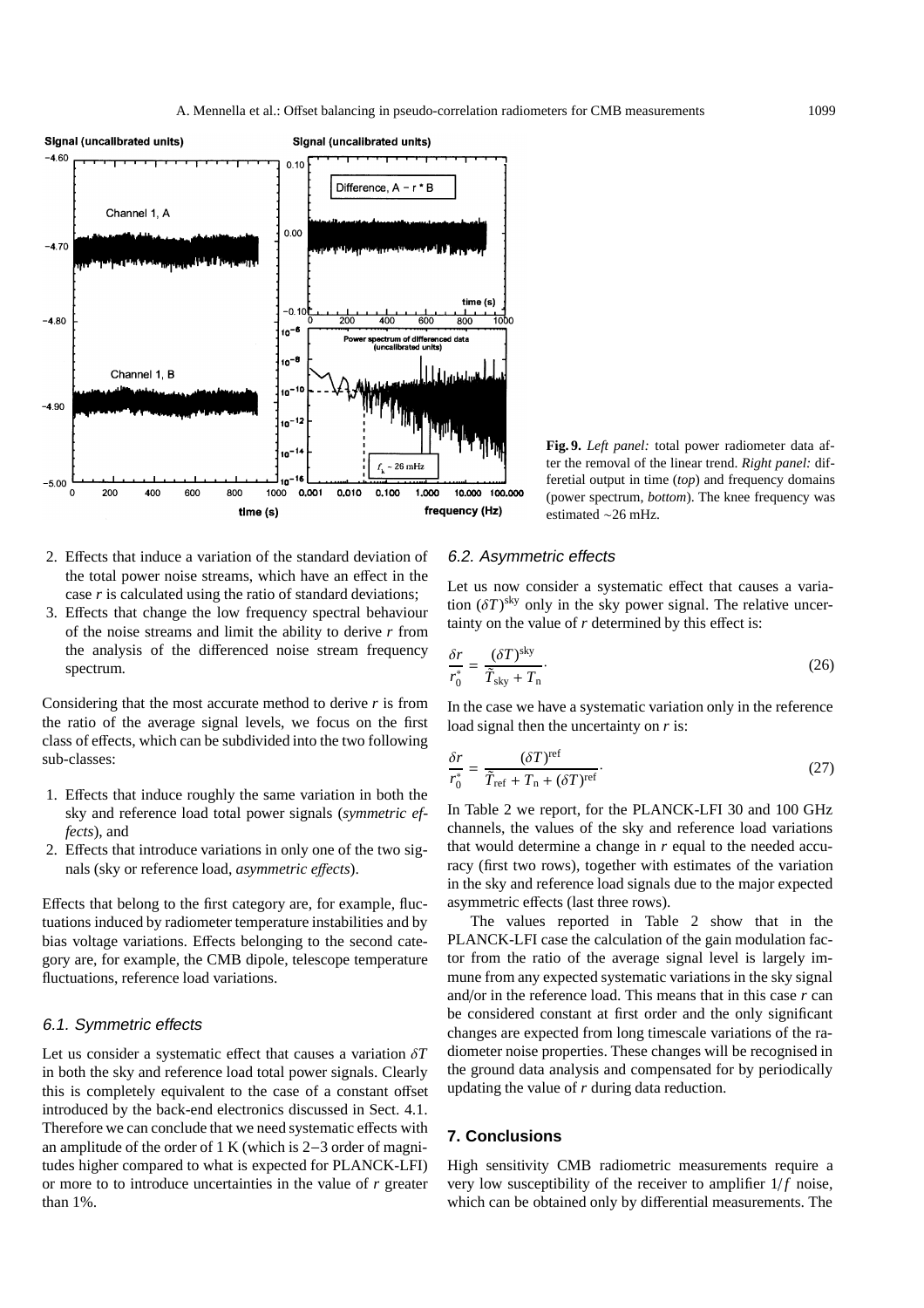

**Fig. 9.** *Left panel:* total power radiometer data after the removal of the linear trend. *Right panel:* differetial output in time (*top*) and frequency domains (power spectrum, *bottom*). The knee frequency was estimated ∼26 mHz.

- 2. Effects that induce a variation of the standard deviation of the total power noise streams, which have an effect in the case *r* is calculated using the ratio of standard deviations;
- 3. Effects that change the low frequency spectral behaviour of the noise streams and limit the ability to derive *r* from the analysis of the differenced noise stream frequency spectrum.

Considering that the most accurate method to derive *r* is from the ratio of the average signal levels, we focus on the first class of effects, which can be subdivided into the two following sub-classes:

- 1. Effects that induce roughly the same variation in both the sky and reference load total power signals (*symmetric effects*), and
- 2. Effects that introduce variations in only one of the two signals (sky or reference load, *asymmetric e*ff*ects*).

Effects that belong to the first category are, for example, fluctuations induced by radiometer temperature instabilities and by bias voltage variations. Effects belonging to the second category are, for example, the CMB dipole, telescope temperature fluctuations, reference load variations.

#### 6.1. Symmetric effects

Let us consider a systematic effect that causes a variation δ*T* in both the sky and reference load total power signals. Clearly this is completely equivalent to the case of a constant offset introduced by the back-end electronics discussed in Sect. 4.1. Therefore we can conclude that we need systematic effects with an amplitude of the order of 1 K (which is 2−3 order of magnitudes higher compared to what is expected for PLANCK-LFI) or more to to introduce uncertainties in the value of *r* greater than 1%.

#### 6.2. Asymmetric effects

Let us now consider a systematic effect that causes a variation  $(\delta T)^{sky}$  only in the sky power signal. The relative uncertainty on the value of *r* determined by this effect is:

$$
\frac{\delta r}{r_0^*} = \frac{(\delta T)^{\text{sky}}}{\tilde{T}_{\text{sky}} + T_{\text{n}}}.
$$
\n(26)

In the case we have a systematic variation only in the reference load signal then the uncertainty on *r* is:

$$
\frac{\delta r}{r_0^*} = \frac{(\delta T)^{\text{ref}}}{\tilde{T}_{\text{ref}} + T_{\text{n}} + (\delta T)^{\text{ref}}}.
$$
\n(27)

In Table 2 we report, for the PLANCK-LFI 30 and 100 GHz channels, the values of the sky and reference load variations that would determine a change in *r* equal to the needed accuracy (first two rows), together with estimates of the variation in the sky and reference load signals due to the major expected asymmetric effects (last three rows).

The values reported in Table 2 show that in the PLANCK-LFI case the calculation of the gain modulation factor from the ratio of the average signal level is largely immune from any expected systematic variations in the sky signal and/or in the reference load. This means that in this case *r* can be considered constant at first order and the only significant changes are expected from long timescale variations of the radiometer noise properties. These changes will be recognised in the ground data analysis and compensated for by periodically updating the value of *r* during data reduction.

#### **7. Conclusions**

High sensitivity CMB radiometric measurements require a very low susceptibility of the receiver to amplifier  $1/f$  noise, which can be obtained only by differential measurements. The